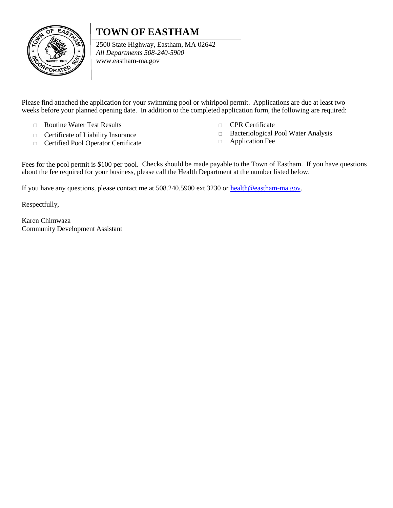## **TOWN OF EASTHAM**



2500 State Highway, Eastham, MA 02642 *All Departments 508-240-5900* [www.eastham-ma.gov](http://www.eastham-ma.gov/)

Please find attached the application for your swimming pool or whirlpool permit. Applications are due at least two weeks before your planned opening date. In addition to the completed application form, the following are required:

- □ Routine Water Test Results
- □ Certificate of Liability Insurance
- □ Certified Pool Operator Certificate
- □ CPR Certificate
- □ Bacteriological Pool Water Analysis
- □ Application Fee

Fees for the pool permit is \$100 per pool. Checks should be made payable to the Town of Eastham. If you have questions about the fee required for your business, please call the Health Department at the number listed below.

If you have any questions, please contact me at 508.240.5900 ext 3230 or [health@eastham-ma.gov.](mailto:health@eastham-ma.gov)

Respectfully,

Karen Chimwaza Community Development Assistant